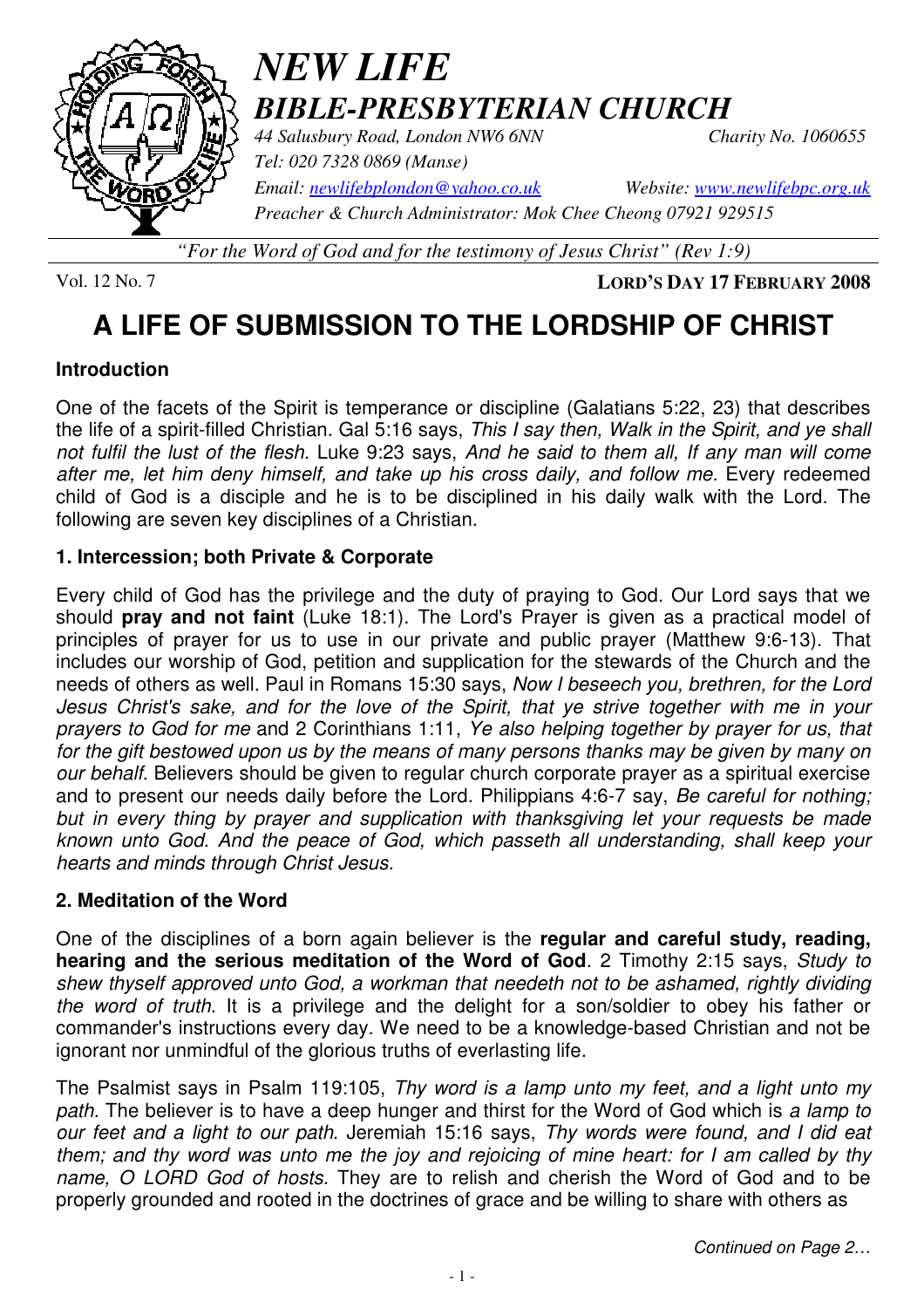

# *NEW LIFE BIBLE-PRESBYTERIAN CHURCH*

*44 Salusbury Road, London NW6 6NN Charity No. 1060655 Tel: 020 7328 0869 (Manse)* 

*Email: newlifebplondon@yahoo.co.uk Website: www.newlifebpc.org.uk*

*Preacher & Church Administrator: Mok Chee Cheong 07921 929515* 

*"For the Word of God and for the testimony of Jesus Christ" (Rev 1:9)*

Vol. 12 No. 7 **LORD'S DAY 17 FEBRUARY 2008**

## **A LIFE OF SUBMISSION TO THE LORDSHIP OF CHRIST**

#### **Introduction**

One of the facets of the Spirit is temperance or discipline (Galatians 5:22, 23) that describes the life of a spirit-filled Christian. Gal 5:16 says, This I say then, Walk in the Spirit, and ye shall not fulfil the lust of the flesh. Luke 9:23 says, And he said to them all, If any man will come after me, let him deny himself, and take up his cross daily, and follow me. Every redeemed child of God is a disciple and he is to be disciplined in his daily walk with the Lord. The following are seven key disciplines of a Christian.

#### **1. Intercession; both Private & Corporate**

Every child of God has the privilege and the duty of praying to God. Our Lord says that we should **pray and not faint** (Luke 18:1). The Lord's Prayer is given as a practical model of principles of prayer for us to use in our private and public prayer (Matthew 9:6-13). That includes our worship of God, petition and supplication for the stewards of the Church and the needs of others as well. Paul in Romans 15:30 says, Now I beseech you, brethren, for the Lord Jesus Christ's sake, and for the love of the Spirit, that ye strive together with me in your prayers to God for me and 2 Corinthians 1:11, Ye also helping together by prayer for us, that for the gift bestowed upon us by the means of many persons thanks may be given by many on our behalf. Believers should be given to regular church corporate prayer as a spiritual exercise and to present our needs daily before the Lord. Philippians 4:6-7 say, Be careful for nothing; but in every thing by prayer and supplication with thanksgiving let your requests be made known unto God. And the peace of God, which passeth all understanding, shall keep your hearts and minds through Christ Jesus.

#### **2. Meditation of the Word**

One of the disciplines of a born again believer is the **regular and careful study, reading, hearing and the serious meditation of the Word of God**. 2 Timothy 2:15 says, Study to shew thyself approved unto God, a workman that needeth not to be ashamed, rightly dividing the word of truth. It is a privilege and the delight for a son/soldier to obey his father or commander's instructions every day. We need to be a knowledge-based Christian and not be ignorant nor unmindful of the glorious truths of everlasting life.

The Psalmist says in Psalm 119:105, Thy word is a lamp unto my feet, and a light unto my path. The believer is to have a deep hunger and thirst for the Word of God which is a lamp to our feet and a light to our path. Jeremiah 15:16 says, Thy words were found, and I did eat them; and thy word was unto me the joy and rejoicing of mine heart: for I am called by thy name, O LORD God of hosts. They are to relish and cherish the Word of God and to be properly grounded and rooted in the doctrines of grace and be willing to share with others as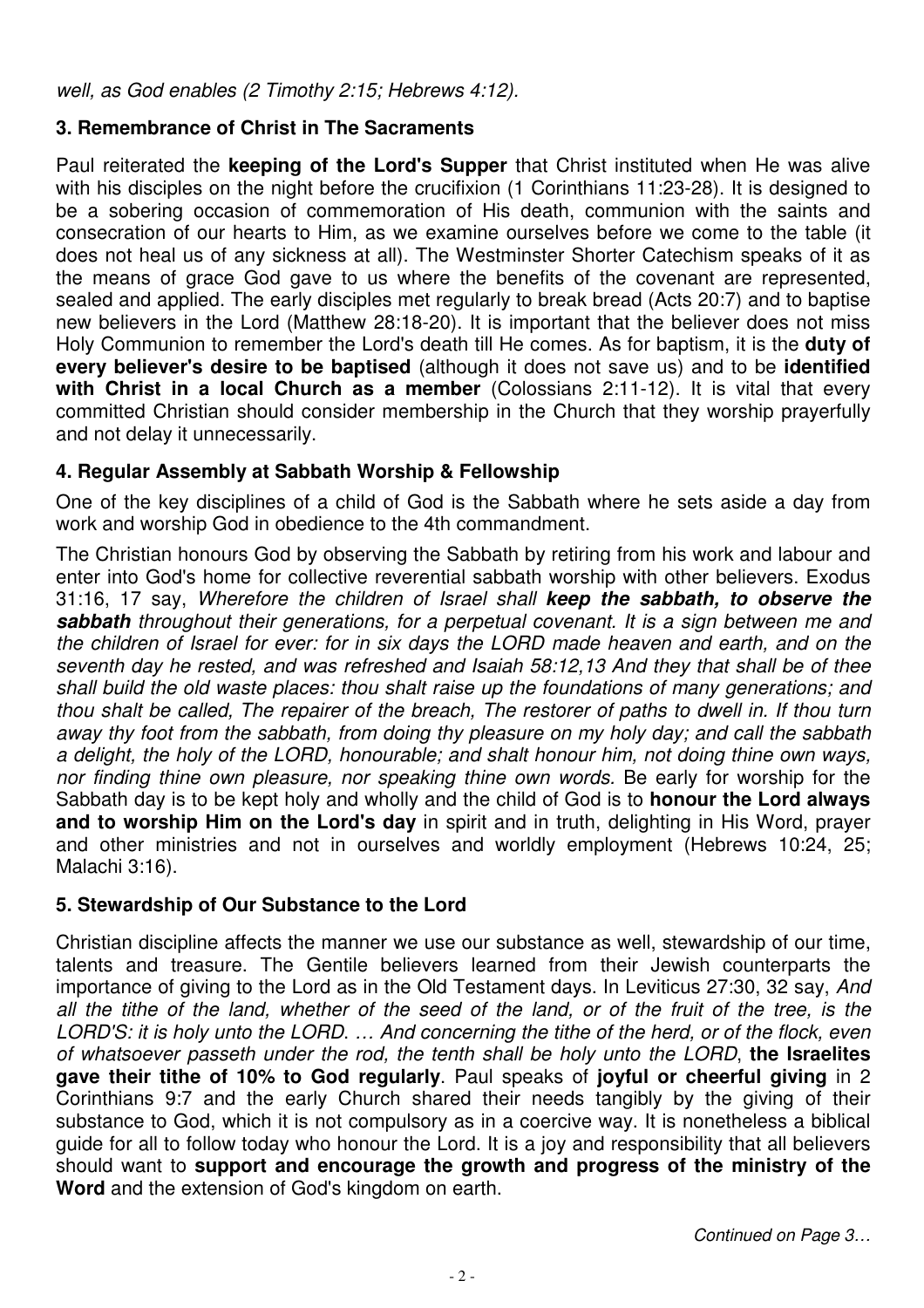well, as God enables (2 Timothy 2:15; Hebrews 4:12).

#### **3. Remembrance of Christ in The Sacraments**

Paul reiterated the **keeping of the Lord's Supper** that Christ instituted when He was alive with his disciples on the night before the crucifixion (1 Corinthians 11:23-28). It is designed to be a sobering occasion of commemoration of His death, communion with the saints and consecration of our hearts to Him, as we examine ourselves before we come to the table (it does not heal us of any sickness at all). The Westminster Shorter Catechism speaks of it as the means of grace God gave to us where the benefits of the covenant are represented, sealed and applied. The early disciples met regularly to break bread (Acts 20:7) and to baptise new believers in the Lord (Matthew 28:18-20). It is important that the believer does not miss Holy Communion to remember the Lord's death till He comes. As for baptism, it is the **duty of every believer's desire to be baptised** (although it does not save us) and to be **identified with Christ in a local Church as a member** (Colossians 2:11-12). It is vital that every committed Christian should consider membership in the Church that they worship prayerfully and not delay it unnecessarily.

#### **4. Regular Assembly at Sabbath Worship & Fellowship**

One of the key disciplines of a child of God is the Sabbath where he sets aside a day from work and worship God in obedience to the 4th commandment.

The Christian honours God by observing the Sabbath by retiring from his work and labour and enter into God's home for collective reverential sabbath worship with other believers. Exodus 31:16, 17 say, Wherefore the children of Israel shall **keep the sabbath, to observe the sabbath** throughout their generations, for a perpetual covenant. It is a sign between me and the children of Israel for ever: for in six days the LORD made heaven and earth, and on the seventh day he rested, and was refreshed and Isaiah 58:12,13 And they that shall be of thee shall build the old waste places: thou shalt raise up the foundations of many generations; and thou shalt be called, The repairer of the breach, The restorer of paths to dwell in. If thou turn away thy foot from the sabbath, from doing thy pleasure on my holy day; and call the sabbath a delight, the holy of the LORD, honourable; and shalt honour him, not doing thine own ways, nor finding thine own pleasure, nor speaking thine own words. Be early for worship for the Sabbath day is to be kept holy and wholly and the child of God is to **honour the Lord always and to worship Him on the Lord's day** in spirit and in truth, delighting in His Word, prayer and other ministries and not in ourselves and worldly employment (Hebrews 10:24, 25; Malachi 3:16).

#### **5. Stewardship of Our Substance to the Lord**

Christian discipline affects the manner we use our substance as well, stewardship of our time, talents and treasure. The Gentile believers learned from their Jewish counterparts the importance of giving to the Lord as in the Old Testament days. In Leviticus 27:30, 32 say, And all the tithe of the land, whether of the seed of the land, or of the fruit of the tree, is the LORD'S: it is holy unto the LORD. … And concerning the tithe of the herd, or of the flock, even of whatsoever passeth under the rod, the tenth shall be holy unto the LORD, **the Israelites gave their tithe of 10% to God regularly**. Paul speaks of **joyful or cheerful giving** in 2 Corinthians 9:7 and the early Church shared their needs tangibly by the giving of their substance to God, which it is not compulsory as in a coercive way. It is nonetheless a biblical guide for all to follow today who honour the Lord. It is a joy and responsibility that all believers should want to **support and encourage the growth and progress of the ministry of the Word** and the extension of God's kingdom on earth.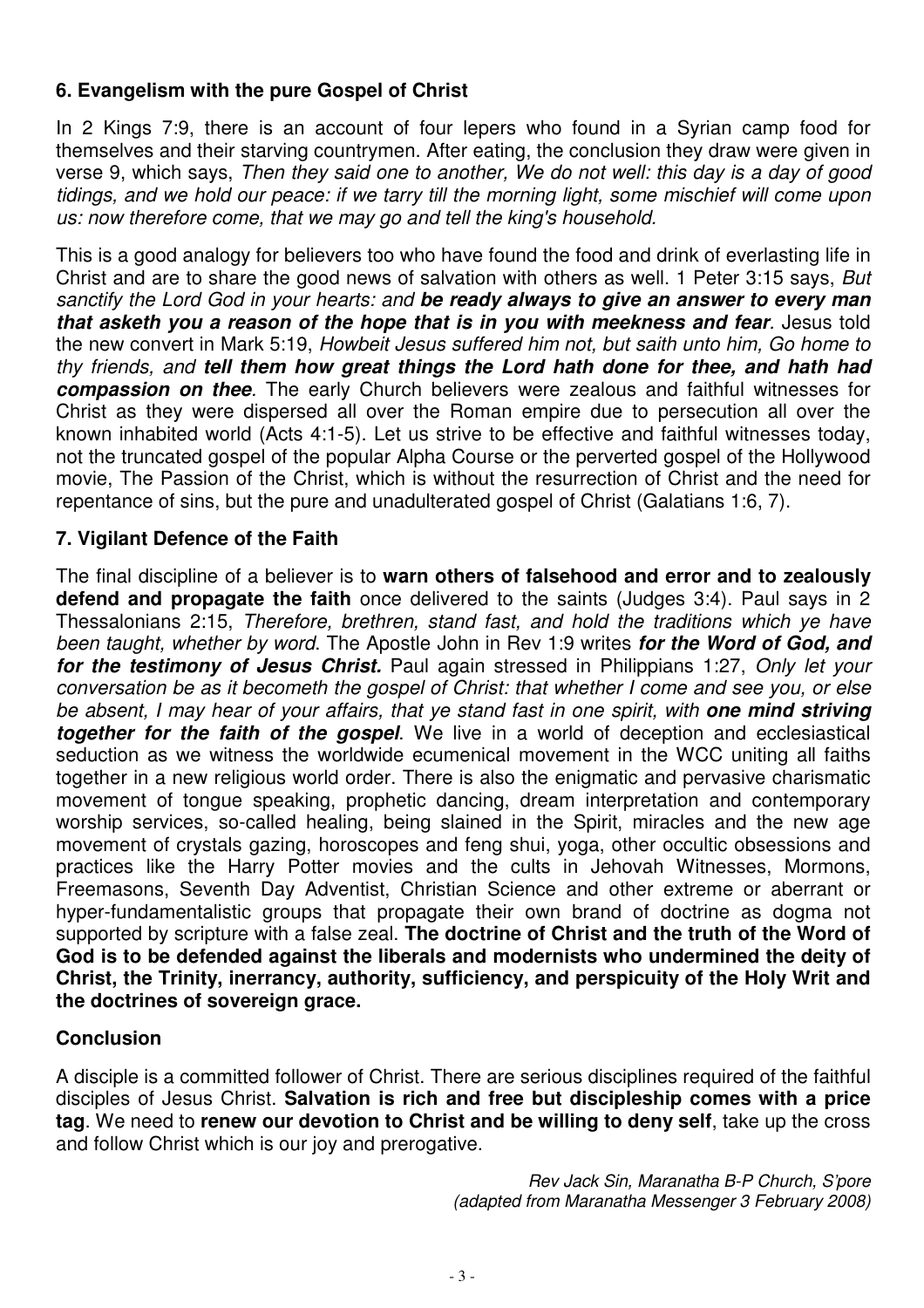#### **6. Evangelism with the pure Gospel of Christ**

In 2 Kings 7:9, there is an account of four lepers who found in a Syrian camp food for themselves and their starving countrymen. After eating, the conclusion they draw were given in verse 9, which says, Then they said one to another, We do not well: this day is a day of good tidings, and we hold our peace: if we tarry till the morning light, some mischief will come upon us: now therefore come, that we may go and tell the king's household.

This is a good analogy for believers too who have found the food and drink of everlasting life in Christ and are to share the good news of salvation with others as well. 1 Peter 3:15 says, But sanctify the Lord God in your hearts: and **be ready always to give an answer to every man that asketh you a reason of the hope that is in you with meekness and fear**. Jesus told the new convert in Mark 5:19, Howbeit Jesus suffered him not, but saith unto him, Go home to thy friends, and **tell them how great things the Lord hath done for thee, and hath had compassion on thee**. The early Church believers were zealous and faithful witnesses for Christ as they were dispersed all over the Roman empire due to persecution all over the known inhabited world (Acts 4:1-5). Let us strive to be effective and faithful witnesses today, not the truncated gospel of the popular Alpha Course or the perverted gospel of the Hollywood movie, The Passion of the Christ, which is without the resurrection of Christ and the need for repentance of sins, but the pure and unadulterated gospel of Christ (Galatians 1:6, 7).

#### **7. Vigilant Defence of the Faith**

The final discipline of a believer is to **warn others of falsehood and error and to zealously defend and propagate the faith** once delivered to the saints (Judges 3:4). Paul says in 2 Thessalonians 2:15, Therefore, brethren, stand fast, and hold the traditions which ye have been taught, whether by word. The Apostle John in Rev 1:9 writes **for the Word of God, and for the testimony of Jesus Christ.** Paul again stressed in Philippians 1:27, Only let your conversation be as it becometh the gospel of Christ: that whether I come and see you, or else be absent, I may hear of your affairs, that ye stand fast in one spirit, with **one mind striving together for the faith of the gospel**. We live in a world of deception and ecclesiastical seduction as we witness the worldwide ecumenical movement in the WCC uniting all faiths together in a new religious world order. There is also the enigmatic and pervasive charismatic movement of tongue speaking, prophetic dancing, dream interpretation and contemporary worship services, so-called healing, being slained in the Spirit, miracles and the new age movement of crystals gazing, horoscopes and feng shui, yoga, other occultic obsessions and practices like the Harry Potter movies and the cults in Jehovah Witnesses, Mormons, Freemasons, Seventh Day Adventist, Christian Science and other extreme or aberrant or hyper-fundamentalistic groups that propagate their own brand of doctrine as dogma not supported by scripture with a false zeal. **The doctrine of Christ and the truth of the Word of God is to be defended against the liberals and modernists who undermined the deity of Christ, the Trinity, inerrancy, authority, sufficiency, and perspicuity of the Holy Writ and the doctrines of sovereign grace.**

#### **Conclusion**

A disciple is a committed follower of Christ. There are serious disciplines required of the faithful disciples of Jesus Christ. **Salvation is rich and free but discipleship comes with a price tag**. We need to **renew our devotion to Christ and be willing to deny self**, take up the cross and follow Christ which is our joy and prerogative.

> Rev Jack Sin, Maranatha B-P Church, S'pore (adapted from Maranatha Messenger 3 February 2008)